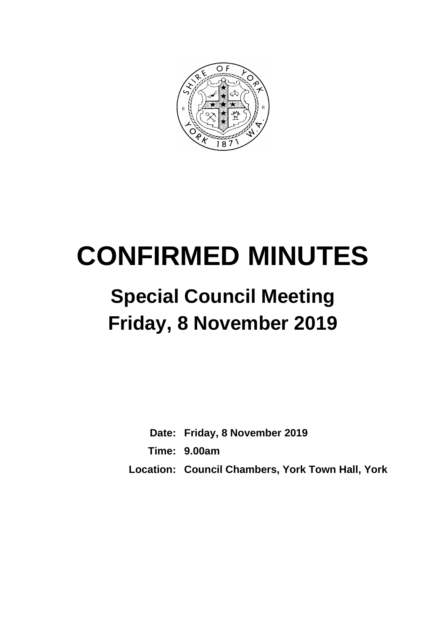

# **CONFIRMED MINUTES**

# **Special Council Meeting Friday, 8 November 2019**

**Date: Friday, 8 November 2019 Time: 9.00am Location: Council Chambers, York Town Hall, York**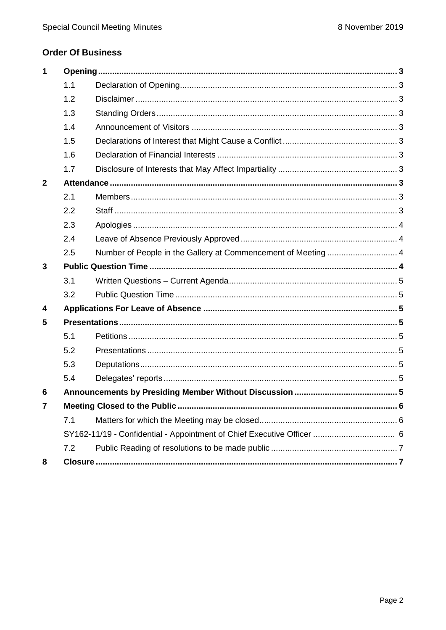# **Order Of Business**

| $\mathbf 1$             |     |  |  |
|-------------------------|-----|--|--|
|                         | 1.1 |  |  |
|                         | 1.2 |  |  |
|                         | 1.3 |  |  |
|                         | 1.4 |  |  |
|                         | 1.5 |  |  |
|                         | 1.6 |  |  |
|                         | 1.7 |  |  |
| $\mathbf{2}$            |     |  |  |
|                         | 2.1 |  |  |
|                         | 2.2 |  |  |
|                         | 2.3 |  |  |
|                         | 2.4 |  |  |
|                         | 2.5 |  |  |
| 3                       |     |  |  |
|                         | 3.1 |  |  |
|                         | 3.2 |  |  |
| $\overline{\mathbf{4}}$ |     |  |  |
| 5                       |     |  |  |
|                         | 5.1 |  |  |
|                         | 5.2 |  |  |
|                         | 5.3 |  |  |
|                         | 5.4 |  |  |
| 6                       |     |  |  |
| 7                       |     |  |  |
|                         | 7.1 |  |  |
|                         |     |  |  |
|                         | 7.2 |  |  |
| 8                       |     |  |  |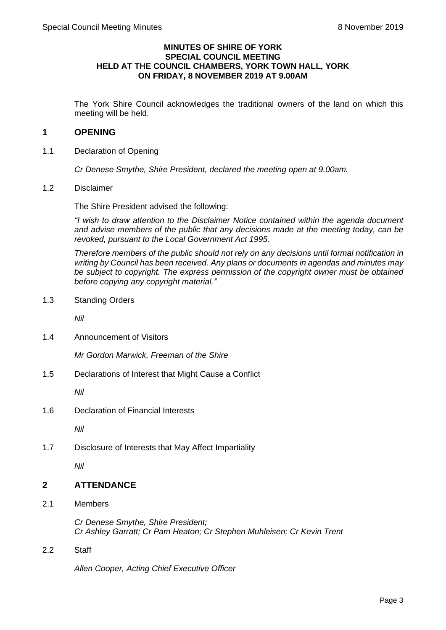#### **MINUTES OF SHIRE OF YORK SPECIAL COUNCIL MEETING HELD AT THE COUNCIL CHAMBERS, YORK TOWN HALL, YORK ON FRIDAY, 8 NOVEMBER 2019 AT 9.00AM**

The York Shire Council acknowledges the traditional owners of the land on which this meeting will be held.

# <span id="page-2-0"></span>**1 OPENING**

<span id="page-2-1"></span>1.1 Declaration of Opening

*Cr Denese Smythe, Shire President, declared the meeting open at 9.00am.*

<span id="page-2-2"></span>1.2 Disclaimer

The Shire President advised the following:

*"I wish to draw attention to the Disclaimer Notice contained within the agenda document and advise members of the public that any decisions made at the meeting today, can be revoked, pursuant to the Local Government Act 1995.*

*Therefore members of the public should not rely on any decisions until formal notification in writing by Council has been received. Any plans or documents in agendas and minutes may be subject to copyright. The express permission of the copyright owner must be obtained before copying any copyright material."*

<span id="page-2-3"></span>1.3 Standing Orders

*Nil*

<span id="page-2-4"></span>1.4 Announcement of Visitors

*Mr Gordon Marwick, Freeman of the Shire*

<span id="page-2-5"></span>1.5 Declarations of Interest that Might Cause a Conflict

*Nil*

<span id="page-2-6"></span>1.6 Declaration of Financial Interests

*Nil*

<span id="page-2-7"></span>1.7 Disclosure of Interests that May Affect Impartiality

*Nil*

#### <span id="page-2-8"></span>**2 ATTENDANCE**

<span id="page-2-9"></span>2.1 Members

*Cr Denese Smythe, Shire President; Cr Ashley Garratt; Cr Pam Heaton; Cr Stephen Muhleisen; Cr Kevin Trent*

<span id="page-2-10"></span>2.2 Staff

*Allen Cooper, Acting Chief Executive Officer*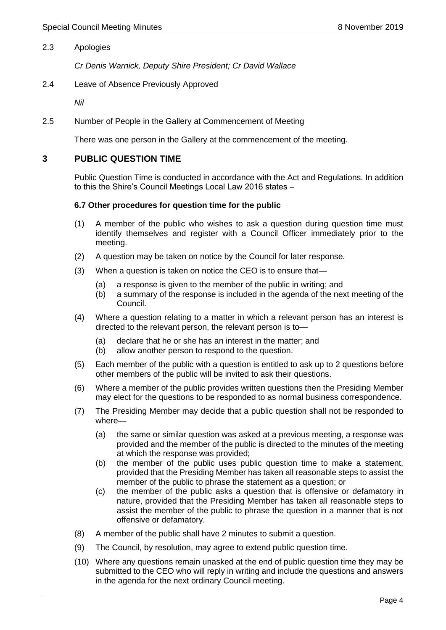#### <span id="page-3-0"></span>2.3 Apologies

*Cr Denis Warnick, Deputy Shire President; Cr David Wallace*

<span id="page-3-1"></span>2.4 Leave of Absence Previously Approved

*Nil*

<span id="page-3-2"></span>2.5 Number of People in the Gallery at Commencement of Meeting

There was one person in the Gallery at the commencement of the meeting.

#### <span id="page-3-3"></span>**3 PUBLIC QUESTION TIME**

Public Question Time is conducted in accordance with the Act and Regulations. In addition to this the Shire's Council Meetings Local Law 2016 states –

#### **6.7 Other procedures for question time for the public**

- (1) A member of the public who wishes to ask a question during question time must identify themselves and register with a Council Officer immediately prior to the meeting.
- (2) A question may be taken on notice by the Council for later response.
- (3) When a question is taken on notice the CEO is to ensure that—
	- (a) a response is given to the member of the public in writing; and
	- (b) a summary of the response is included in the agenda of the next meeting of the Council.
- (4) Where a question relating to a matter in which a relevant person has an interest is directed to the relevant person, the relevant person is to—
	- (a) declare that he or she has an interest in the matter; and
	- (b) allow another person to respond to the question.
- (5) Each member of the public with a question is entitled to ask up to 2 questions before other members of the public will be invited to ask their questions.
- (6) Where a member of the public provides written questions then the Presiding Member may elect for the questions to be responded to as normal business correspondence.
- (7) The Presiding Member may decide that a public question shall not be responded to where—
	- (a) the same or similar question was asked at a previous meeting, a response was provided and the member of the public is directed to the minutes of the meeting at which the response was provided;
	- (b) the member of the public uses public question time to make a statement, provided that the Presiding Member has taken all reasonable steps to assist the member of the public to phrase the statement as a question; or
	- (c) the member of the public asks a question that is offensive or defamatory in nature, provided that the Presiding Member has taken all reasonable steps to assist the member of the public to phrase the question in a manner that is not offensive or defamatory.
- (8) A member of the public shall have 2 minutes to submit a question.
- (9) The Council, by resolution, may agree to extend public question time.
- (10) Where any questions remain unasked at the end of public question time they may be submitted to the CEO who will reply in writing and include the questions and answers in the agenda for the next ordinary Council meeting.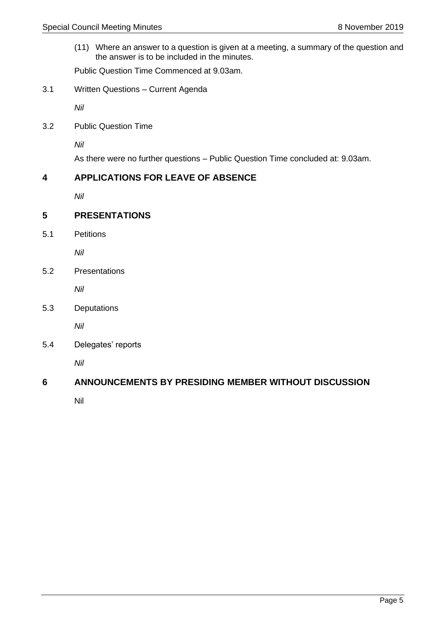(11) Where an answer to a question is given at a meeting, a summary of the question and the answer is to be included in the minutes.

Public Question Time Commenced at 9.03am.

<span id="page-4-0"></span>3.1 Written Questions – Current Agenda

*Nil*

<span id="page-4-1"></span>3.2 Public Question Time

*Nil*

As there were no further questions – Public Question Time concluded at: 9.03am.

#### <span id="page-4-2"></span>**4 APPLICATIONS FOR LEAVE OF ABSENCE**

*Nil*

# <span id="page-4-3"></span>**5 PRESENTATIONS**

<span id="page-4-4"></span>5.1 Petitions

*Nil*

<span id="page-4-5"></span>5.2 Presentations

*Nil*

<span id="page-4-6"></span>5.3 Deputations

*Nil*

<span id="page-4-7"></span>5.4 Delegates' reports

*Nil*

# <span id="page-4-8"></span>**6 ANNOUNCEMENTS BY PRESIDING MEMBER WITHOUT DISCUSSION**

Nil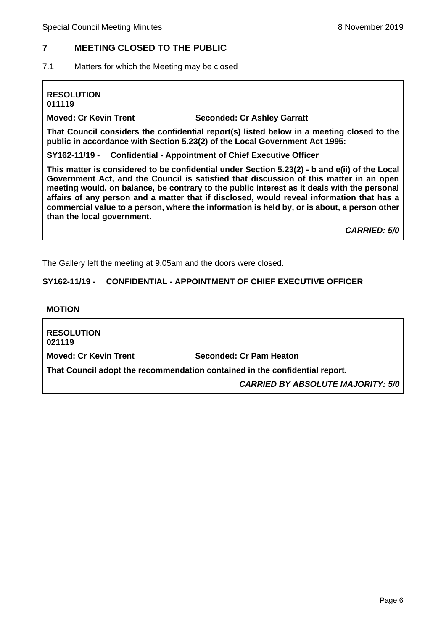# <span id="page-5-0"></span>**7 MEETING CLOSED TO THE PUBLIC**

<span id="page-5-1"></span>7.1 Matters for which the Meeting may be closed

#### **RESOLUTION 011119**

**Moved: Cr Kevin Trent Seconded: Cr Ashley Garratt**

**That Council considers the confidential report(s) listed below in a meeting closed to the public in accordance with Section 5.23(2) of the Local Government Act 1995:**

**SY162-11/19 - Confidential - Appointment of Chief Executive Officer**

**This matter is considered to be confidential under Section 5.23(2) - b and e(ii) of the Local Government Act, and the Council is satisfied that discussion of this matter in an open meeting would, on balance, be contrary to the public interest as it deals with the personal affairs of any person and a matter that if disclosed, would reveal information that has a commercial value to a person, where the information is held by, or is about, a person other than the local government.** 

*CARRIED: 5/0*

The Gallery left the meeting at 9.05am and the doors were closed.

#### **SY162-11/19 - CONFIDENTIAL - APPOINTMENT OF CHIEF EXECUTIVE OFFICER**

#### **MOTION**

**RESOLUTION 021119 Moved: Cr Kevin Trent Seconded: Cr Pam Heaton That Council adopt the recommendation contained in the confidential report.** *CARRIED BY ABSOLUTE MAJORITY: 5/0*